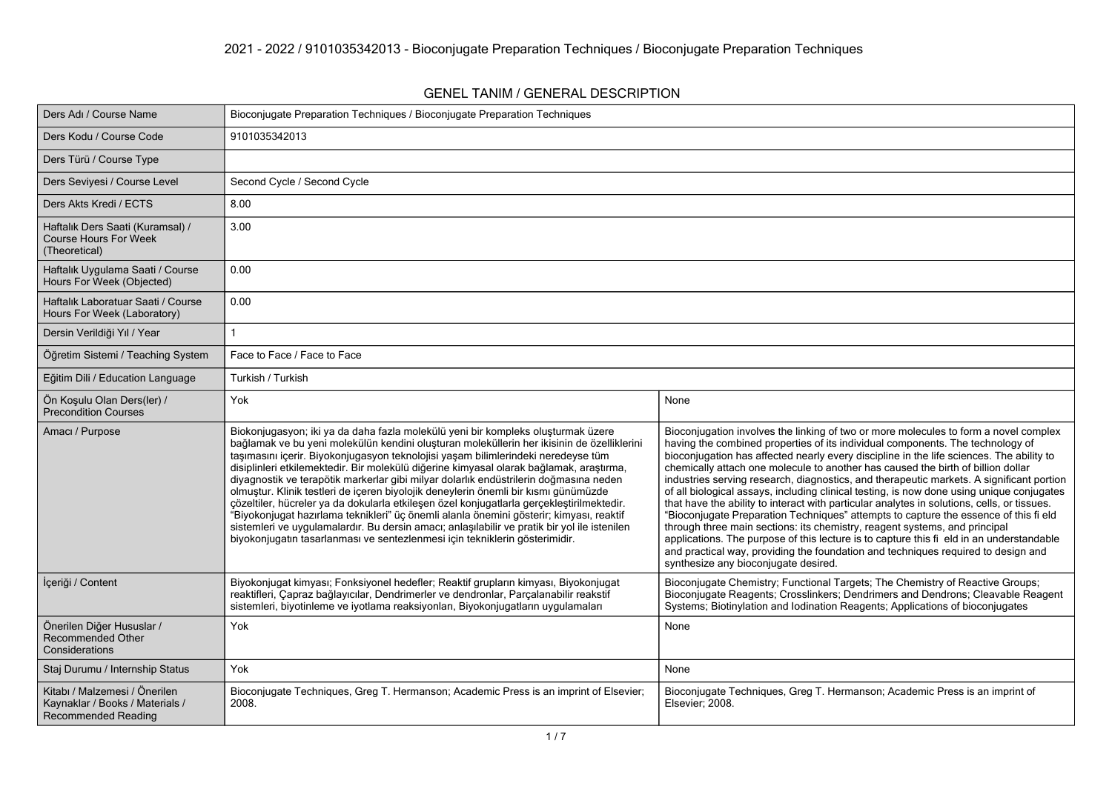#### **GENEL TANIM / GENERAL DESCRIPTION**

| Ders Adı / Course Name                                                                         | Bioconjugate Preparation Techniques / Bioconjugate Preparation Techniques                                                                                                                                                                                                                                                                                                                                                                                                                                                                                                                                                                                                                                                                                                                                                                                                                                             |                                                                                                                                                                                                                                                                                                                                                                                                                                                                                                                                                                                                                                                                                                                                                                                                                                                                                                                                                                                                                                               |
|------------------------------------------------------------------------------------------------|-----------------------------------------------------------------------------------------------------------------------------------------------------------------------------------------------------------------------------------------------------------------------------------------------------------------------------------------------------------------------------------------------------------------------------------------------------------------------------------------------------------------------------------------------------------------------------------------------------------------------------------------------------------------------------------------------------------------------------------------------------------------------------------------------------------------------------------------------------------------------------------------------------------------------|-----------------------------------------------------------------------------------------------------------------------------------------------------------------------------------------------------------------------------------------------------------------------------------------------------------------------------------------------------------------------------------------------------------------------------------------------------------------------------------------------------------------------------------------------------------------------------------------------------------------------------------------------------------------------------------------------------------------------------------------------------------------------------------------------------------------------------------------------------------------------------------------------------------------------------------------------------------------------------------------------------------------------------------------------|
| Ders Kodu / Course Code                                                                        | 9101035342013                                                                                                                                                                                                                                                                                                                                                                                                                                                                                                                                                                                                                                                                                                                                                                                                                                                                                                         |                                                                                                                                                                                                                                                                                                                                                                                                                                                                                                                                                                                                                                                                                                                                                                                                                                                                                                                                                                                                                                               |
| Ders Türü / Course Type                                                                        |                                                                                                                                                                                                                                                                                                                                                                                                                                                                                                                                                                                                                                                                                                                                                                                                                                                                                                                       |                                                                                                                                                                                                                                                                                                                                                                                                                                                                                                                                                                                                                                                                                                                                                                                                                                                                                                                                                                                                                                               |
| Ders Seviyesi / Course Level                                                                   | Second Cycle / Second Cycle                                                                                                                                                                                                                                                                                                                                                                                                                                                                                                                                                                                                                                                                                                                                                                                                                                                                                           |                                                                                                                                                                                                                                                                                                                                                                                                                                                                                                                                                                                                                                                                                                                                                                                                                                                                                                                                                                                                                                               |
| Ders Akts Kredi / ECTS                                                                         | 8.00                                                                                                                                                                                                                                                                                                                                                                                                                                                                                                                                                                                                                                                                                                                                                                                                                                                                                                                  |                                                                                                                                                                                                                                                                                                                                                                                                                                                                                                                                                                                                                                                                                                                                                                                                                                                                                                                                                                                                                                               |
| Haftalık Ders Saati (Kuramsal) /<br><b>Course Hours For Week</b><br>(Theoretical)              | 3.00                                                                                                                                                                                                                                                                                                                                                                                                                                                                                                                                                                                                                                                                                                                                                                                                                                                                                                                  |                                                                                                                                                                                                                                                                                                                                                                                                                                                                                                                                                                                                                                                                                                                                                                                                                                                                                                                                                                                                                                               |
| Haftalık Uygulama Saati / Course<br>Hours For Week (Objected)                                  | 0.00                                                                                                                                                                                                                                                                                                                                                                                                                                                                                                                                                                                                                                                                                                                                                                                                                                                                                                                  |                                                                                                                                                                                                                                                                                                                                                                                                                                                                                                                                                                                                                                                                                                                                                                                                                                                                                                                                                                                                                                               |
| Haftalık Laboratuar Saati / Course<br>Hours For Week (Laboratory)                              | 0.00                                                                                                                                                                                                                                                                                                                                                                                                                                                                                                                                                                                                                                                                                                                                                                                                                                                                                                                  |                                                                                                                                                                                                                                                                                                                                                                                                                                                                                                                                                                                                                                                                                                                                                                                                                                                                                                                                                                                                                                               |
| Dersin Verildiği Yıl / Year                                                                    |                                                                                                                                                                                                                                                                                                                                                                                                                                                                                                                                                                                                                                                                                                                                                                                                                                                                                                                       |                                                                                                                                                                                                                                                                                                                                                                                                                                                                                                                                                                                                                                                                                                                                                                                                                                                                                                                                                                                                                                               |
| Öğretim Sistemi / Teaching System                                                              | Face to Face / Face to Face                                                                                                                                                                                                                                                                                                                                                                                                                                                                                                                                                                                                                                                                                                                                                                                                                                                                                           |                                                                                                                                                                                                                                                                                                                                                                                                                                                                                                                                                                                                                                                                                                                                                                                                                                                                                                                                                                                                                                               |
| Eğitim Dili / Education Language                                                               | Turkish / Turkish                                                                                                                                                                                                                                                                                                                                                                                                                                                                                                                                                                                                                                                                                                                                                                                                                                                                                                     |                                                                                                                                                                                                                                                                                                                                                                                                                                                                                                                                                                                                                                                                                                                                                                                                                                                                                                                                                                                                                                               |
| Ön Koşulu Olan Ders(ler) /<br><b>Precondition Courses</b>                                      | Yok                                                                                                                                                                                                                                                                                                                                                                                                                                                                                                                                                                                                                                                                                                                                                                                                                                                                                                                   | None                                                                                                                                                                                                                                                                                                                                                                                                                                                                                                                                                                                                                                                                                                                                                                                                                                                                                                                                                                                                                                          |
| Amacı / Purpose                                                                                | Biokonjugasyon; iki ya da daha fazla molekülü yeni bir kompleks oluşturmak üzere<br>bağlamak ve bu yeni molekülün kendini oluşturan moleküllerin her ikisinin de özelliklerini<br>taşımasını içerir. Biyokonjugasyon teknolojisi yaşam bilimlerindeki neredeyse tüm<br>disiplinleri etkilemektedir. Bir molekülü diğerine kimyasal olarak bağlamak, araştırma,<br>diyagnostik ve terapötik markerlar gibi milyar dolarlık endüstrilerin doğmasına neden<br>olmuştur. Klinik testleri de içeren biyolojik deneylerin önemli bir kısmı günümüzde<br>çözeltiler, hücreler ya da dokularla etkileşen özel konjugatlarla gerçekleştirilmektedir.<br>"Biyokonjugat hazırlama teknikleri" üç önemli alanla önemini gösterir; kimyası, reaktif<br>sistemleri ve uygulamalardır. Bu dersin amacı; anlaşılabilir ve pratik bir yol ile istenilen<br>biyokonjugatın tasarlanması ve sentezlenmesi için tekniklerin gösterimidir. | Bioconjugation involves the linking of two or more molecules to form a novel complex<br>having the combined properties of its individual components. The technology of<br>bioconjugation has affected nearly every discipline in the life sciences. The ability to<br>chemically attach one molecule to another has caused the birth of billion dollar<br>industries serving research, diagnostics, and therapeutic markets. A significant portion<br>of all biological assays, including clinical testing, is now done using unique conjugates<br>that have the ability to interact with particular analytes in solutions, cells, or tissues.<br>"Bioconjugate Preparation Techniques" attempts to capture the essence of this fi eld<br>through three main sections: its chemistry, reagent systems, and principal<br>applications. The purpose of this lecture is to capture this fi eld in an understandable<br>and practical way, providing the foundation and techniques required to design and<br>synthesize any bioconjugate desired. |
| İçeriği / Content                                                                              | Biyokonjugat kimyası; Fonksiyonel hedefler; Reaktif grupların kimyası, Biyokonjugat<br>reaktifleri, Çapraz bağlayıcılar, Dendrimerler ve dendronlar, Parçalanabilir reakstif<br>sistemleri, biyotinleme ve iyotlama reaksiyonları, Biyokonjugatların uygulamaları                                                                                                                                                                                                                                                                                                                                                                                                                                                                                                                                                                                                                                                     | Bioconjugate Chemistry; Functional Targets; The Chemistry of Reactive Groups;<br>Bioconjugate Reagents; Crosslinkers; Dendrimers and Dendrons; Cleavable Reagent<br>Systems; Biotinylation and Iodination Reagents; Applications of bioconjugates                                                                                                                                                                                                                                                                                                                                                                                                                                                                                                                                                                                                                                                                                                                                                                                             |
| Önerilen Diğer Hususlar /<br>Recommended Other<br>Considerations                               | Yok                                                                                                                                                                                                                                                                                                                                                                                                                                                                                                                                                                                                                                                                                                                                                                                                                                                                                                                   | None                                                                                                                                                                                                                                                                                                                                                                                                                                                                                                                                                                                                                                                                                                                                                                                                                                                                                                                                                                                                                                          |
| Staj Durumu / Internship Status                                                                | Yok                                                                                                                                                                                                                                                                                                                                                                                                                                                                                                                                                                                                                                                                                                                                                                                                                                                                                                                   | None                                                                                                                                                                                                                                                                                                                                                                                                                                                                                                                                                                                                                                                                                                                                                                                                                                                                                                                                                                                                                                          |
| Kitabı / Malzemesi / Önerilen<br>Kaynaklar / Books / Materials /<br><b>Recommended Reading</b> | Bioconjugate Techniques, Greg T. Hermanson; Academic Press is an imprint of Elsevier;<br>2008.                                                                                                                                                                                                                                                                                                                                                                                                                                                                                                                                                                                                                                                                                                                                                                                                                        | Bioconjugate Techniques, Greg T. Hermanson; Academic Press is an imprint of<br>Elsevier; 2008.                                                                                                                                                                                                                                                                                                                                                                                                                                                                                                                                                                                                                                                                                                                                                                                                                                                                                                                                                |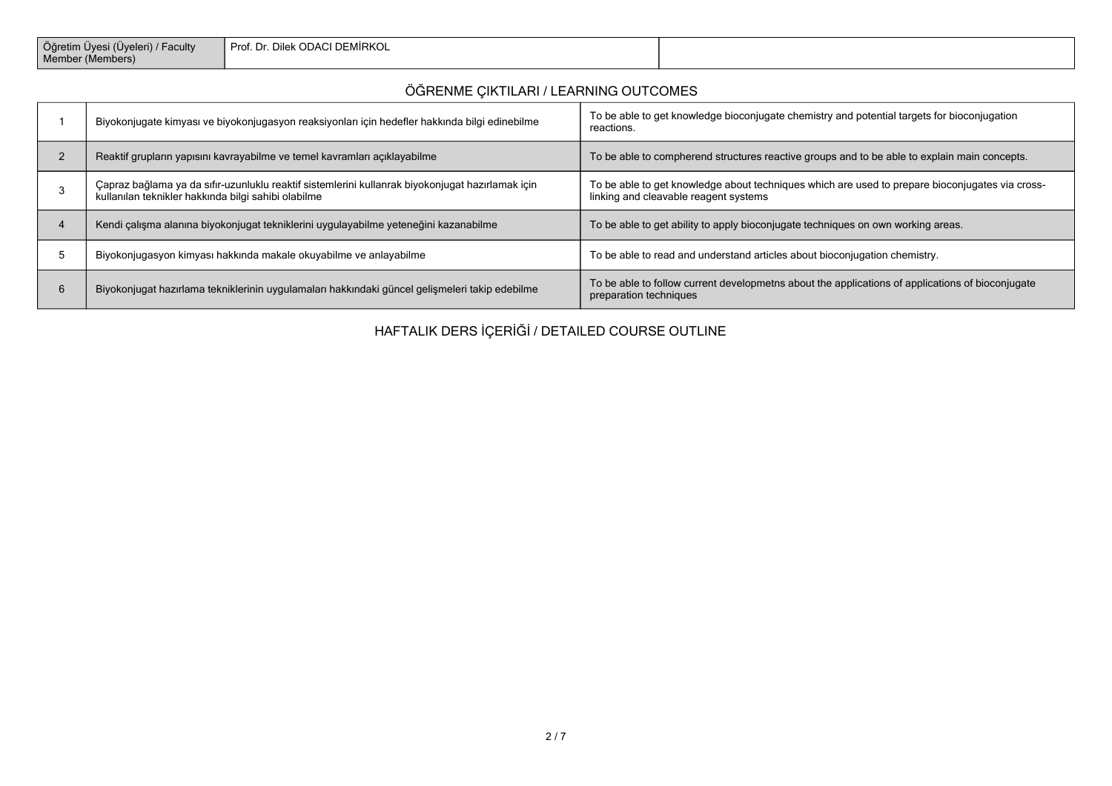| Öğretim Üyesi (Üyeleri)<br>' Faculty<br>Member (Members) | I Prof. Dr. Dilek ODACI DEMİRKOL |  |
|----------------------------------------------------------|----------------------------------|--|
|----------------------------------------------------------|----------------------------------|--|

## **ÖĞRENME ÇIKTILARI / LEARNING OUTCOMES**

|   | Biyokonjugate kimyası ve biyokonjugasyon reaksiyonları için hedefler hakkında bilgi edinebilme                                                          | To be able to get knowledge bioconjugate chemistry and potential targets for bioconjugation<br>reactions.                                |
|---|---------------------------------------------------------------------------------------------------------------------------------------------------------|------------------------------------------------------------------------------------------------------------------------------------------|
|   | Reaktif grupların yapısını kavrayabilme ve temel kavramları açıklayabilme                                                                               | To be able to compherend structures reactive groups and to be able to explain main concepts.                                             |
|   | Capraz bağlama ya da sıfır-uzunluklu reaktif sistemlerini kullanrak biyokonjugat hazırlamak için<br>kullanılan teknikler hakkında bilgi sahibi olabilme | To be able to get knowledge about techniques which are used to prepare bioconjugates via cross-<br>linking and cleavable reagent systems |
|   | Kendi çalışma alanına biyokonjugat tekniklerini uygulayabilme yeteneğini kazanabilme                                                                    | To be able to get ability to apply bioconjugate techniques on own working areas.                                                         |
|   | Biyokonjugasyon kimyası hakkında makale okuyabilme ve anlayabilme                                                                                       | To be able to read and understand articles about bioconjugation chemistry.                                                               |
| b | Biyokonjugat hazırlama tekniklerinin uygulamaları hakkındaki güncel gelişmeleri takip edebilme                                                          | To be able to follow current developmeths about the applications of applications of bioconjugate<br>preparation techniques               |

# **HAFTALIK DERS İÇERİĞİ / DETAILED COURSE OUTLINE**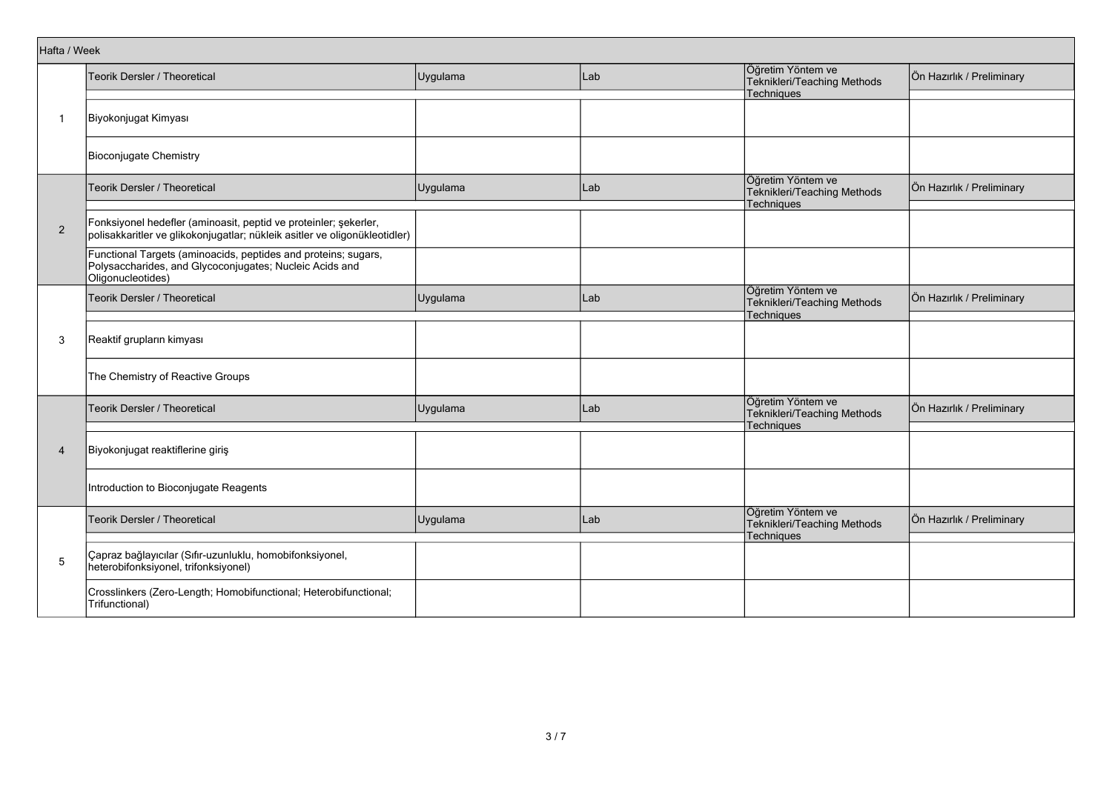| Hafta / Week   |                                                                                                                                                |          |     |                                                                       |                           |
|----------------|------------------------------------------------------------------------------------------------------------------------------------------------|----------|-----|-----------------------------------------------------------------------|---------------------------|
|                | Teorik Dersler / Theoretical                                                                                                                   | Uygulama | Lab | Öğretim Yöntem ve<br>Teknikleri/Teaching Methods<br><b>Techniques</b> | Ön Hazırlık / Preliminary |
| 1              | Biyokonjugat Kimyası                                                                                                                           |          |     |                                                                       |                           |
|                | Bioconjugate Chemistry                                                                                                                         |          |     |                                                                       |                           |
|                | Teorik Dersler / Theoretical                                                                                                                   | Uygulama | Lab | Öğretim Yöntem ve<br>Teknikleri/Teaching Methods<br>Techniques        | Ön Hazırlık / Preliminary |
| $\overline{2}$ | Fonksiyonel hedefler (aminoasit, peptid ve proteinler; şekerler,<br>polisakkaritler ve glikokonjugatlar; nükleik asitler ve oligonükleotidler) |          |     |                                                                       |                           |
|                | Functional Targets (aminoacids, peptides and proteins; sugars,<br>Polysaccharides, and Glycoconjugates, Nucleic Acids and<br>Oligonucleotides) |          |     |                                                                       |                           |
|                | Teorik Dersler / Theoretical                                                                                                                   | Uygulama | Lab | Öğretim Yöntem ve<br>Teknikleri/Teaching Methods<br>Techniques        | Ön Hazırlık / Preliminary |
| 3              | Reaktif grupların kimyası                                                                                                                      |          |     |                                                                       |                           |
|                | The Chemistry of Reactive Groups                                                                                                               |          |     |                                                                       |                           |
|                | Teorik Dersler / Theoretical                                                                                                                   | Uygulama | Lab | Öğretim Yöntem ve<br>Teknikleri/Teaching Methods<br>Techniques        | Ön Hazırlık / Preliminary |
| 4              | Biyokonjugat reaktiflerine giriş                                                                                                               |          |     |                                                                       |                           |
|                | Introduction to Bioconjugate Reagents                                                                                                          |          |     |                                                                       |                           |
|                | Teorik Dersler / Theoretical                                                                                                                   | Uygulama | Lab | Öğretim Yöntem ve<br>Teknikleri/Teaching Methods<br>Techniques        | Ön Hazırlık / Preliminary |
| $\sqrt{5}$     | Çapraz bağlayıcılar (Sıfır-uzunluklu, homobifonksiyonel,<br>heterobifonksiyonel, trifonksiyonel)                                               |          |     |                                                                       |                           |
|                | Crosslinkers (Zero-Length; Homobifunctional; Heterobifunctional;<br>Trifunctional)                                                             |          |     |                                                                       |                           |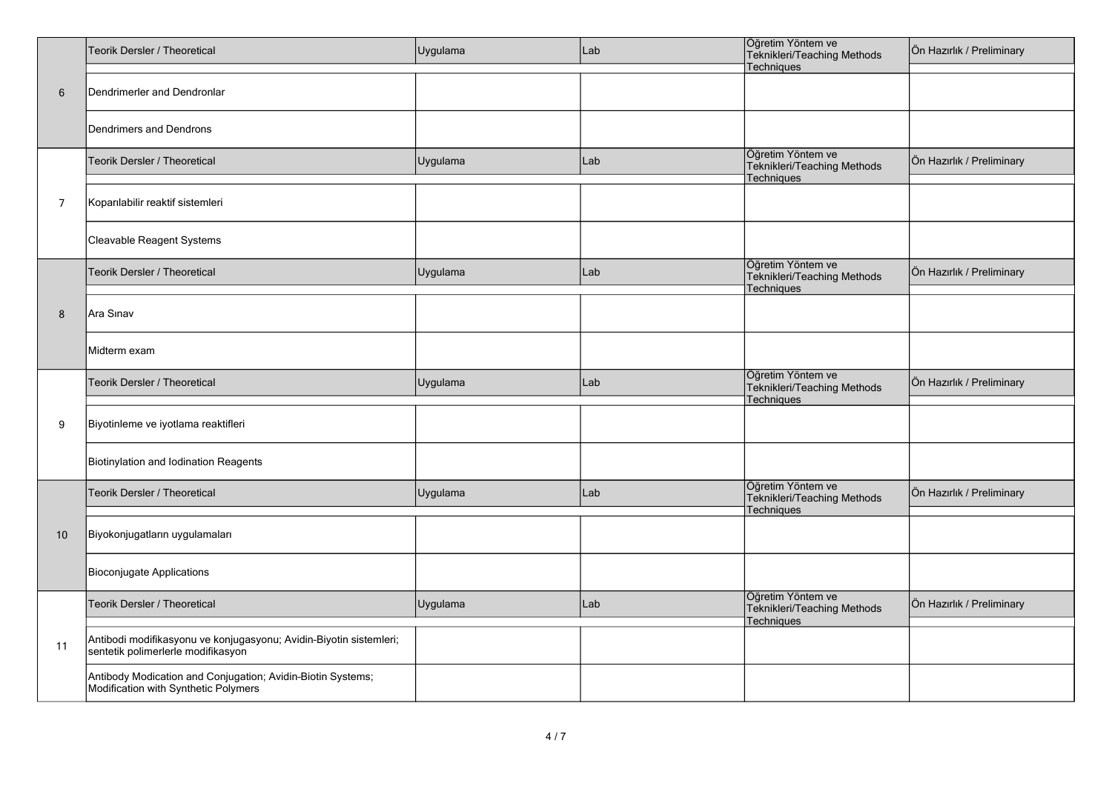|                | Teorik Dersler / Theoretical                                                                             | Uygulama | Lab | Öğretim Yöntem ve<br>Teknikleri/Teaching Methods<br>Techniques | Ön Hazırlık / Preliminary |
|----------------|----------------------------------------------------------------------------------------------------------|----------|-----|----------------------------------------------------------------|---------------------------|
| 6              | Dendrimerler and Dendronlar                                                                              |          |     |                                                                |                           |
|                | Dendrimers and Dendrons                                                                                  |          |     |                                                                |                           |
|                | Teorik Dersler / Theoretical                                                                             | Uygulama | Lab | Öğretim Yöntem ve<br>Teknikleri/Teaching Methods<br>Techniques | Ön Hazırlık / Preliminary |
| $\overline{7}$ | Koparılabilir reaktif sistemleri                                                                         |          |     |                                                                |                           |
|                | Cleavable Reagent Systems                                                                                |          |     |                                                                |                           |
|                | Teorik Dersler / Theoretical                                                                             | Uygulama | Lab | Öğretim Yöntem ve<br>Teknikleri/Teaching Methods<br>Techniques | Ön Hazırlık / Preliminary |
| 8              | Ara Sınav                                                                                                |          |     |                                                                |                           |
|                | Midterm exam                                                                                             |          |     |                                                                |                           |
|                | Teorik Dersler / Theoretical                                                                             | Uygulama | Lab | Öğretim Yöntem ve<br>Teknikleri/Teaching Methods<br>Techniques | Ön Hazırlık / Preliminary |
| 9              | Biyotinleme ve iyotlama reaktifleri                                                                      |          |     |                                                                |                           |
|                | Biotinylation and Iodination Reagents                                                                    |          |     |                                                                |                           |
|                | Teorik Dersler / Theoretical                                                                             | Uygulama | Lab | Öğretim Yöntem ve<br>Teknikleri/Teaching Methods<br>Techniques | Ön Hazırlık / Preliminary |
| 10             | Biyokonjugatların uygulamaları                                                                           |          |     |                                                                |                           |
|                | <b>Bioconjugate Applications</b>                                                                         |          |     |                                                                |                           |
|                | Teorik Dersler / Theoretical                                                                             | Uygulama | Lab | Öğretim Yöntem ve<br>Teknikleri/Teaching Methods<br>Techniques | Ön Hazırlık / Preliminary |
| 11             | Antibodi modifikasyonu ve konjugasyonu; Avidin-Biyotin sistemleri;<br>sentetik polimerlerle modifikasyon |          |     |                                                                |                           |
|                | Antibody Modication and Conjugation; Avidin-Biotin Systems;<br>Modification with Synthetic Polymers      |          |     |                                                                |                           |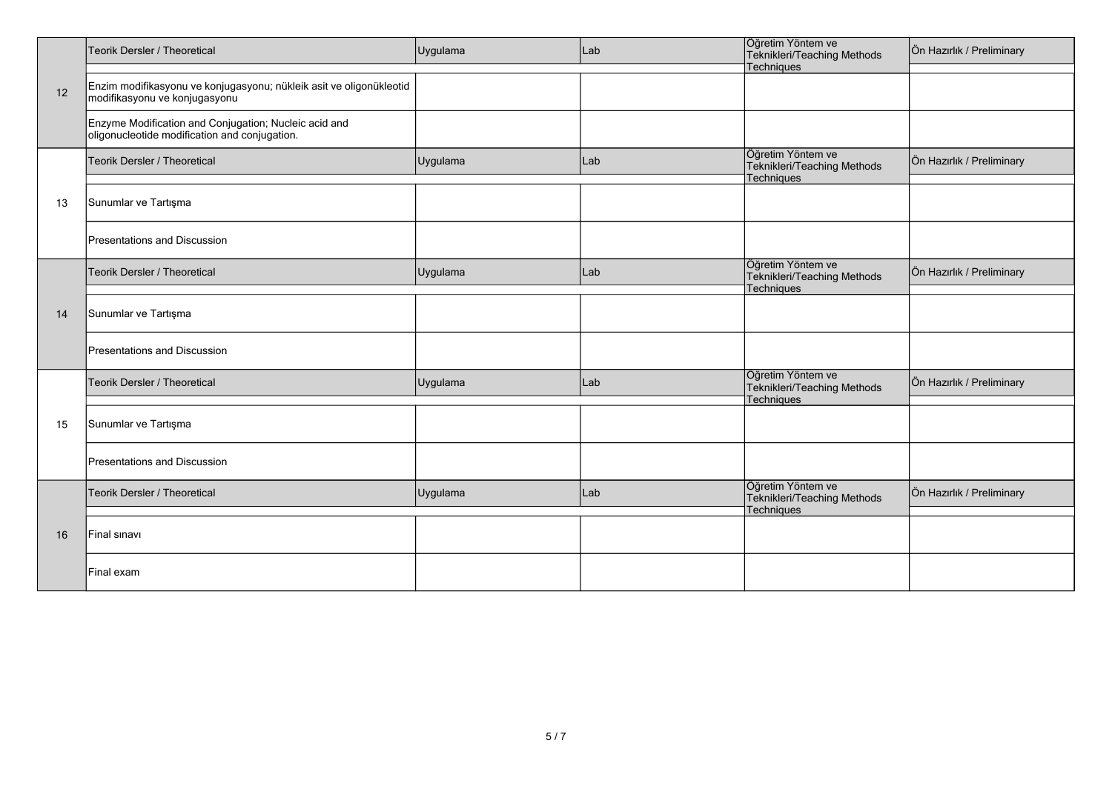|    | Teorik Dersler / Theoretical                                                                           | Uygulama | Lab | Öğretim Yöntem ve<br>Teknikleri/Teaching Methods               | Ön Hazırlık / Preliminary |
|----|--------------------------------------------------------------------------------------------------------|----------|-----|----------------------------------------------------------------|---------------------------|
| 12 | Enzim modifikasyonu ve konjugasyonu; nükleik asit ve oligonükleotid<br>modifikasyonu ve konjugasyonu   |          |     | Techniques                                                     |                           |
|    | Enzyme Modification and Conjugation; Nucleic acid and<br>oligonucleotide modification and conjugation. |          |     |                                                                |                           |
|    | Teorik Dersler / Theoretical                                                                           | Uygulama | Lab | Öğretim Yöntem ve<br>Teknikleri/Teaching Methods<br>Techniques | Ön Hazırlık / Preliminary |
| 13 | Sunumlar ve Tartışma                                                                                   |          |     |                                                                |                           |
|    | Presentations and Discussion                                                                           |          |     |                                                                |                           |
|    | Teorik Dersler / Theoretical                                                                           | Uygulama | Lab | Öğretim Yöntem ve<br>Teknikleri/Teaching Methods<br>Techniques | Ön Hazırlık / Preliminary |
| 14 | Sunumlar ve Tartışma                                                                                   |          |     |                                                                |                           |
|    | Presentations and Discussion                                                                           |          |     |                                                                |                           |
|    | Teorik Dersler / Theoretical                                                                           | Uygulama | Lab | Öğretim Yöntem ve<br>Teknikleri/Teaching Methods<br>Techniques | Ön Hazırlık / Preliminary |
| 15 | Sunumlar ve Tartışma                                                                                   |          |     |                                                                |                           |
|    | Presentations and Discussion                                                                           |          |     |                                                                |                           |
|    | Teorik Dersler / Theoretical                                                                           | Uygulama | Lab | Öğretim Yöntem ve<br>Teknikleri/Teaching Methods<br>Techniques | Ön Hazırlık / Preliminary |
| 16 | Final sinavi                                                                                           |          |     |                                                                |                           |
|    | Final exam                                                                                             |          |     |                                                                |                           |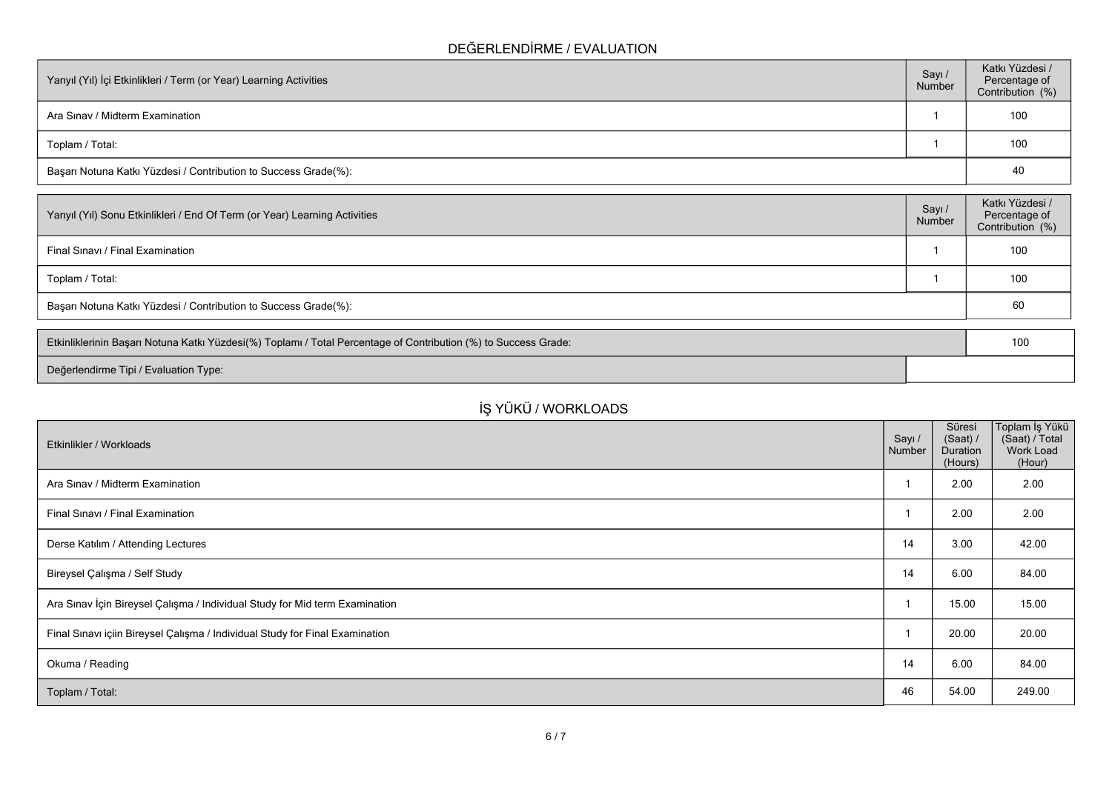### **DEĞERLENDİRME / EVALUATION**

| Yarıyıl (Yıl) İçi Etkinlikleri / Term (or Year) Learning Activities | Sayı /<br>Number | Katkı Yüzdesi /<br>Percentage of<br>Contribution (%) |
|---------------------------------------------------------------------|------------------|------------------------------------------------------|
| Ara Sinav / Midterm Examination                                     |                  | 100                                                  |
| Toplam / Total:                                                     |                  | 100                                                  |
| Başarı Notuna Katkı Yüzdesi / Contribution to Success Grade(%):     |                  | 40                                                   |

| Number | Percentage of<br>Contribution (%) |
|--------|-----------------------------------|
|        | 100                               |
|        | 100                               |
|        | 60                                |
|        |                                   |

| Etkinliklerinin Başarı Notuna Katkı Yüzdesi(%) Toplamı / Total Percentage of Contribution (%) to Success Grade: | 10 <sub>C</sub> |
|-----------------------------------------------------------------------------------------------------------------|-----------------|
| Değerlendirme Tipi / Evaluation Type:                                                                           |                 |

# **İŞ YÜKÜ / WORKLOADS**

| Etkinlikler / Workloads                                                      | Sayı /<br>Number | Süresi<br>(Saat) /<br>Duration<br>(Hours) | Toplam İş Yükü<br>(Saat) / Total<br>Work Load<br>(Hour) |
|------------------------------------------------------------------------------|------------------|-------------------------------------------|---------------------------------------------------------|
| Ara Sinav / Midterm Examination                                              |                  | 2.00                                      | 2.00                                                    |
| Final Sinavi / Final Examination                                             |                  | 2.00                                      | 2.00                                                    |
| Derse Katılım / Attending Lectures                                           | 14               | 3.00                                      | 42.00                                                   |
| Bireysel Çalışma / Self Study                                                | 14               | 6.00                                      | 84.00                                                   |
| Ara Sınav İçin Bireysel Çalışma / Individual Study for Mid term Examination  |                  | 15.00                                     | 15.00                                                   |
| Final Sınavı içiin Bireysel Çalışma / Individual Study for Final Examination |                  | 20.00                                     | 20.00                                                   |
| Okuma / Reading                                                              | 14               | 6.00                                      | 84.00                                                   |
| Toplam / Total:                                                              | 46               | 54.00                                     | 249.00                                                  |